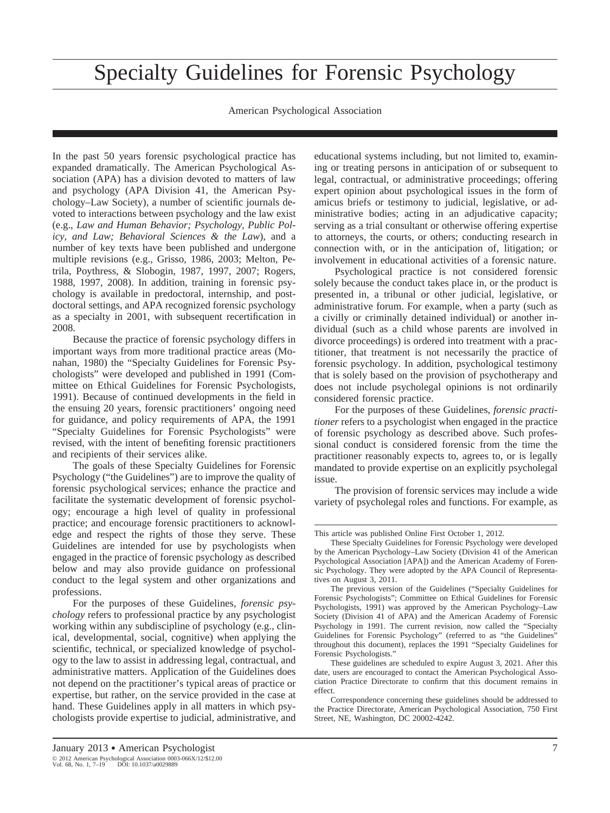# Specialty Guidelines for Forensic Psychology

#### American Psychological Association

In the past 50 years forensic psychological practice has expanded dramatically. The American Psychological Association (APA) has a division devoted to matters of law and psychology (APA Division 41, the American Psychology–Law Society), a number of scientific journals devoted to interactions between psychology and the law exist (e.g., *Law and Human Behavior; Psychology, Public Policy, and Law; Behavioral Sciences & the Law*), and a number of key texts have been published and undergone multiple revisions (e.g., Grisso, 1986, 2003; Melton, Petrila, Poythress, & Slobogin, 1987, 1997, 2007; Rogers, 1988, 1997, 2008). In addition, training in forensic psychology is available in predoctoral, internship, and postdoctoral settings, and APA recognized forensic psychology as a specialty in 2001, with subsequent recertification in 2008.

Because the practice of forensic psychology differs in important ways from more traditional practice areas (Monahan, 1980) the "Specialty Guidelines for Forensic Psychologists" were developed and published in 1991 (Committee on Ethical Guidelines for Forensic Psychologists, 1991). Because of continued developments in the field in the ensuing 20 years, forensic practitioners' ongoing need for guidance, and policy requirements of APA, the 1991 "Specialty Guidelines for Forensic Psychologists" were revised, with the intent of benefiting forensic practitioners and recipients of their services alike.

The goals of these Specialty Guidelines for Forensic Psychology ("the Guidelines") are to improve the quality of forensic psychological services; enhance the practice and facilitate the systematic development of forensic psychology; encourage a high level of quality in professional practice; and encourage forensic practitioners to acknowledge and respect the rights of those they serve. These Guidelines are intended for use by psychologists when engaged in the practice of forensic psychology as described below and may also provide guidance on professional conduct to the legal system and other organizations and professions.

For the purposes of these Guidelines, *forensic psychology* refers to professional practice by any psychologist working within any subdiscipline of psychology (e.g., clinical, developmental, social, cognitive) when applying the scientific, technical, or specialized knowledge of psychology to the law to assist in addressing legal, contractual, and administrative matters. Application of the Guidelines does not depend on the practitioner's typical areas of practice or expertise, but rather, on the service provided in the case at hand. These Guidelines apply in all matters in which psychologists provide expertise to judicial, administrative, and

educational systems including, but not limited to, examining or treating persons in anticipation of or subsequent to legal, contractual, or administrative proceedings; offering expert opinion about psychological issues in the form of amicus briefs or testimony to judicial, legislative, or administrative bodies; acting in an adjudicative capacity; serving as a trial consultant or otherwise offering expertise to attorneys, the courts, or others; conducting research in connection with, or in the anticipation of, litigation; or involvement in educational activities of a forensic nature.

Psychological practice is not considered forensic solely because the conduct takes place in, or the product is presented in, a tribunal or other judicial, legislative, or administrative forum. For example, when a party (such as a civilly or criminally detained individual) or another individual (such as a child whose parents are involved in divorce proceedings) is ordered into treatment with a practitioner, that treatment is not necessarily the practice of forensic psychology. In addition, psychological testimony that is solely based on the provision of psychotherapy and does not include psycholegal opinions is not ordinarily considered forensic practice.

For the purposes of these Guidelines, *forensic practitioner* refers to a psychologist when engaged in the practice of forensic psychology as described above. Such professional conduct is considered forensic from the time the practitioner reasonably expects to, agrees to, or is legally mandated to provide expertise on an explicitly psycholegal issue.

The provision of forensic services may include a wide variety of psycholegal roles and functions. For example, as

This article was published Online First October 1, 2012.

These Specialty Guidelines for Forensic Psychology were developed by the American Psychology–Law Society (Division 41 of the American Psychological Association [APA]) and the American Academy of Forensic Psychology. They were adopted by the APA Council of Representatives on August 3, 2011.

The previous version of the Guidelines ("Specialty Guidelines for Forensic Psychologists"; Committee on Ethical Guidelines for Forensic Psychologists, 1991) was approved by the American Psychology–Law Society (Division 41 of APA) and the American Academy of Forensic Psychology in 1991. The current revision, now called the "Specialty Guidelines for Forensic Psychology" (referred to as "the Guidelines" throughout this document), replaces the 1991 "Specialty Guidelines for Forensic Psychologists."

These guidelines are scheduled to expire August 3, 2021. After this date, users are encouraged to contact the American Psychological Association Practice Directorate to confirm that this document remains in effect.

Correspondence concerning these guidelines should be addressed to the Practice Directorate, American Psychological Association, 750 First Street, NE, Washington, DC 20002-4242.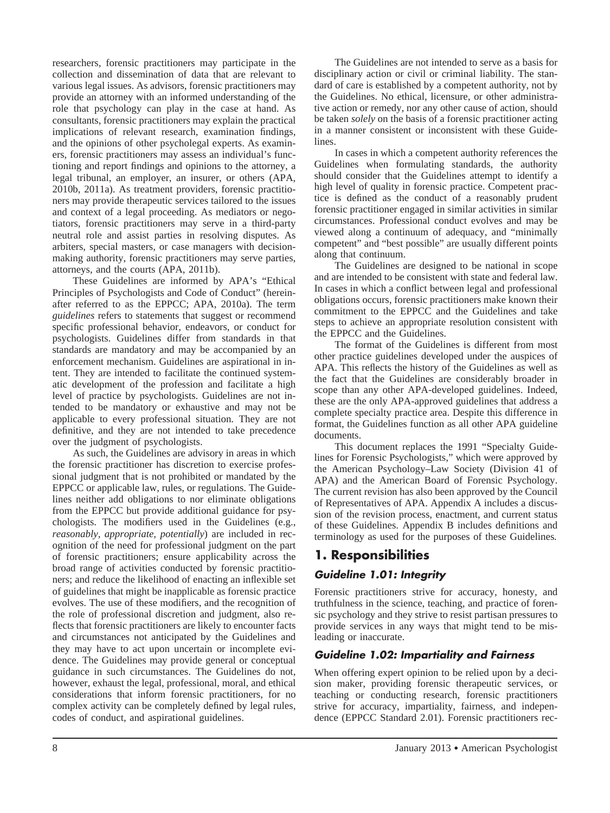researchers, forensic practitioners may participate in the collection and dissemination of data that are relevant to various legal issues. As advisors, forensic practitioners may provide an attorney with an informed understanding of the role that psychology can play in the case at hand. As consultants, forensic practitioners may explain the practical implications of relevant research, examination findings, and the opinions of other psycholegal experts. As examiners, forensic practitioners may assess an individual's functioning and report findings and opinions to the attorney, a legal tribunal, an employer, an insurer, or others (APA, 2010b, 2011a). As treatment providers, forensic practitioners may provide therapeutic services tailored to the issues and context of a legal proceeding. As mediators or negotiators, forensic practitioners may serve in a third-party neutral role and assist parties in resolving disputes. As arbiters, special masters, or case managers with decisionmaking authority, forensic practitioners may serve parties, attorneys, and the courts (APA, 2011b).

These Guidelines are informed by APA's "Ethical Principles of Psychologists and Code of Conduct" (hereinafter referred to as the EPPCC; APA, 2010a). The term *guidelines* refers to statements that suggest or recommend specific professional behavior, endeavors, or conduct for psychologists. Guidelines differ from standards in that standards are mandatory and may be accompanied by an enforcement mechanism. Guidelines are aspirational in intent. They are intended to facilitate the continued systematic development of the profession and facilitate a high level of practice by psychologists. Guidelines are not intended to be mandatory or exhaustive and may not be applicable to every professional situation. They are not definitive, and they are not intended to take precedence over the judgment of psychologists.

As such, the Guidelines are advisory in areas in which the forensic practitioner has discretion to exercise professional judgment that is not prohibited or mandated by the EPPCC or applicable law, rules, or regulations. The Guidelines neither add obligations to nor eliminate obligations from the EPPCC but provide additional guidance for psychologists. The modifiers used in the Guidelines (e.g., *reasonably, appropriate, potentially*) are included in recognition of the need for professional judgment on the part of forensic practitioners; ensure applicability across the broad range of activities conducted by forensic practitioners; and reduce the likelihood of enacting an inflexible set of guidelines that might be inapplicable as forensic practice evolves. The use of these modifiers, and the recognition of the role of professional discretion and judgment, also reflects that forensic practitioners are likely to encounter facts and circumstances not anticipated by the Guidelines and they may have to act upon uncertain or incomplete evidence. The Guidelines may provide general or conceptual guidance in such circumstances. The Guidelines do not, however, exhaust the legal, professional, moral, and ethical considerations that inform forensic practitioners, for no complex activity can be completely defined by legal rules, codes of conduct, and aspirational guidelines.

The Guidelines are not intended to serve as a basis for disciplinary action or civil or criminal liability. The standard of care is established by a competent authority, not by the Guidelines. No ethical, licensure, or other administrative action or remedy, nor any other cause of action, should be taken *solely* on the basis of a forensic practitioner acting in a manner consistent or inconsistent with these Guidelines.

In cases in which a competent authority references the Guidelines when formulating standards, the authority should consider that the Guidelines attempt to identify a high level of quality in forensic practice. Competent practice is defined as the conduct of a reasonably prudent forensic practitioner engaged in similar activities in similar circumstances. Professional conduct evolves and may be viewed along a continuum of adequacy, and "minimally competent" and "best possible" are usually different points along that continuum.

The Guidelines are designed to be national in scope and are intended to be consistent with state and federal law. In cases in which a conflict between legal and professional obligations occurs, forensic practitioners make known their commitment to the EPPCC and the Guidelines and take steps to achieve an appropriate resolution consistent with the EPPCC and the Guidelines.

The format of the Guidelines is different from most other practice guidelines developed under the auspices of APA. This reflects the history of the Guidelines as well as the fact that the Guidelines are considerably broader in scope than any other APA-developed guidelines. Indeed, these are the only APA-approved guidelines that address a complete specialty practice area. Despite this difference in format, the Guidelines function as all other APA guideline documents.

This document replaces the 1991 "Specialty Guidelines for Forensic Psychologists," which were approved by the American Psychology–Law Society (Division 41 of APA) and the American Board of Forensic Psychology. The current revision has also been approved by the Council of Representatives of APA. Appendix A includes a discussion of the revision process, enactment, and current status of these Guidelines. Appendix B includes definitions and terminology as used for the purposes of these Guidelines*.*

# **1. Responsibilities**

# *Guideline 1.01: Integrity*

Forensic practitioners strive for accuracy, honesty, and truthfulness in the science, teaching, and practice of forensic psychology and they strive to resist partisan pressures to provide services in any ways that might tend to be misleading or inaccurate.

# *Guideline 1.02: Impartiality and Fairness*

When offering expert opinion to be relied upon by a decision maker, providing forensic therapeutic services, or teaching or conducting research, forensic practitioners strive for accuracy, impartiality, fairness, and independence (EPPCC Standard 2.01). Forensic practitioners rec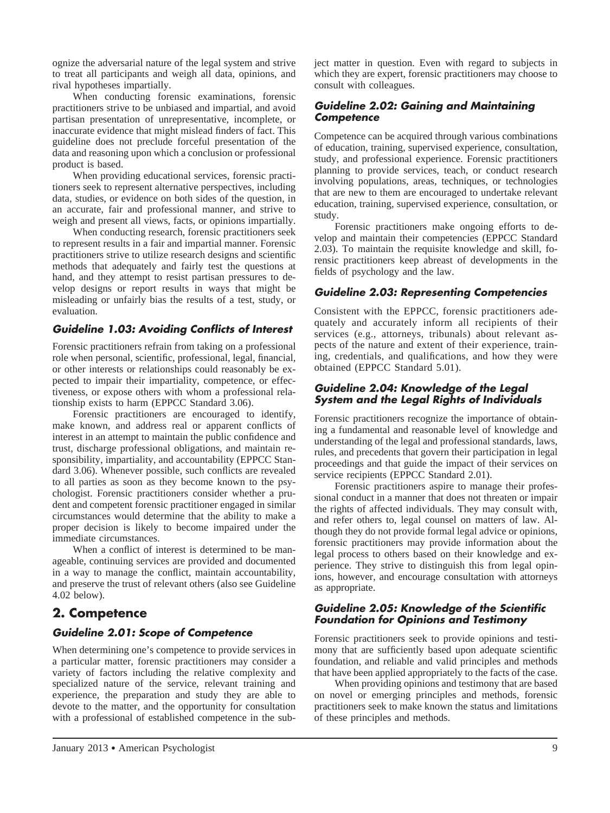ognize the adversarial nature of the legal system and strive to treat all participants and weigh all data, opinions, and rival hypotheses impartially.

When conducting forensic examinations, forensic practitioners strive to be unbiased and impartial, and avoid partisan presentation of unrepresentative, incomplete, or inaccurate evidence that might mislead finders of fact. This guideline does not preclude forceful presentation of the data and reasoning upon which a conclusion or professional product is based.

When providing educational services, forensic practitioners seek to represent alternative perspectives, including data, studies, or evidence on both sides of the question, in an accurate, fair and professional manner, and strive to weigh and present all views, facts, or opinions impartially.

When conducting research, forensic practitioners seek to represent results in a fair and impartial manner. Forensic practitioners strive to utilize research designs and scientific methods that adequately and fairly test the questions at hand, and they attempt to resist partisan pressures to develop designs or report results in ways that might be misleading or unfairly bias the results of a test, study, or evaluation.

#### *Guideline 1.03: Avoiding Conflicts of Interest*

Forensic practitioners refrain from taking on a professional role when personal, scientific, professional, legal, financial, or other interests or relationships could reasonably be expected to impair their impartiality, competence, or effectiveness, or expose others with whom a professional relationship exists to harm (EPPCC Standard 3.06).

Forensic practitioners are encouraged to identify, make known, and address real or apparent conflicts of interest in an attempt to maintain the public confidence and trust, discharge professional obligations, and maintain responsibility, impartiality, and accountability (EPPCC Standard 3.06). Whenever possible, such conflicts are revealed to all parties as soon as they become known to the psychologist. Forensic practitioners consider whether a prudent and competent forensic practitioner engaged in similar circumstances would determine that the ability to make a proper decision is likely to become impaired under the immediate circumstances.

When a conflict of interest is determined to be manageable, continuing services are provided and documented in a way to manage the conflict, maintain accountability, and preserve the trust of relevant others (also see Guideline 4.02 below).

# **2. Competence**

# *Guideline 2.01: Scope of Competence*

When determining one's competence to provide services in a particular matter, forensic practitioners may consider a variety of factors including the relative complexity and specialized nature of the service, relevant training and experience, the preparation and study they are able to devote to the matter, and the opportunity for consultation with a professional of established competence in the subject matter in question. Even with regard to subjects in which they are expert, forensic practitioners may choose to consult with colleagues.

#### *Guideline 2.02: Gaining and Maintaining Competence*

Competence can be acquired through various combinations of education, training, supervised experience, consultation, study, and professional experience. Forensic practitioners planning to provide services, teach, or conduct research involving populations, areas, techniques, or technologies that are new to them are encouraged to undertake relevant education, training, supervised experience, consultation, or study.

Forensic practitioners make ongoing efforts to develop and maintain their competencies (EPPCC Standard 2.03). To maintain the requisite knowledge and skill, forensic practitioners keep abreast of developments in the fields of psychology and the law.

#### *Guideline 2.03: Representing Competencies*

Consistent with the EPPCC, forensic practitioners adequately and accurately inform all recipients of their services (e.g., attorneys, tribunals) about relevant aspects of the nature and extent of their experience, training, credentials, and qualifications, and how they were obtained (EPPCC Standard 5.01).

#### *Guideline 2.04: Knowledge of the Legal System and the Legal Rights of Individuals*

Forensic practitioners recognize the importance of obtaining a fundamental and reasonable level of knowledge and understanding of the legal and professional standards, laws, rules, and precedents that govern their participation in legal proceedings and that guide the impact of their services on service recipients (EPPCC Standard 2.01).

Forensic practitioners aspire to manage their professional conduct in a manner that does not threaten or impair the rights of affected individuals. They may consult with, and refer others to, legal counsel on matters of law. Although they do not provide formal legal advice or opinions, forensic practitioners may provide information about the legal process to others based on their knowledge and experience. They strive to distinguish this from legal opinions, however, and encourage consultation with attorneys as appropriate.

#### *Guideline 2.05: Knowledge of the Scientific Foundation for Opinions and Testimony*

Forensic practitioners seek to provide opinions and testimony that are sufficiently based upon adequate scientific foundation, and reliable and valid principles and methods that have been applied appropriately to the facts of the case.

When providing opinions and testimony that are based on novel or emerging principles and methods, forensic practitioners seek to make known the status and limitations of these principles and methods.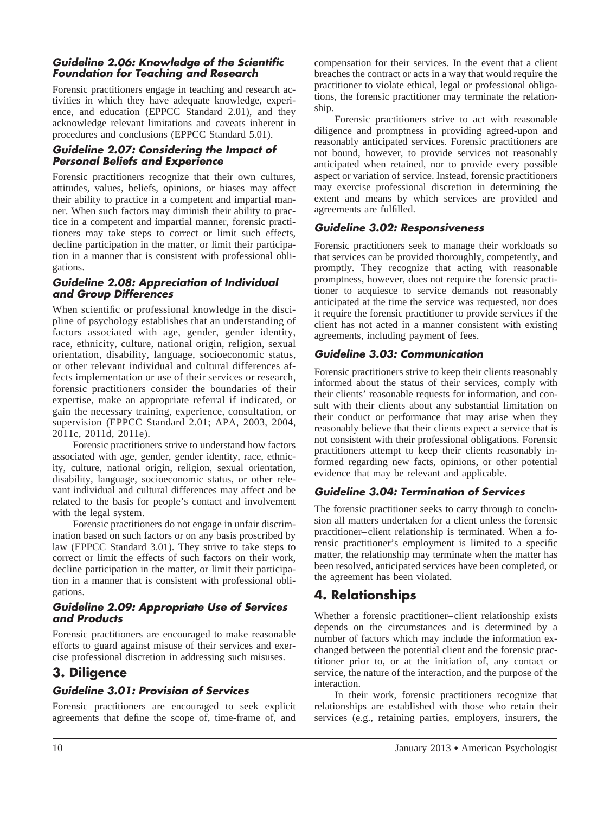#### *Guideline 2.06: Knowledge of the Scientific Foundation for Teaching and Research*

Forensic practitioners engage in teaching and research activities in which they have adequate knowledge, experience, and education (EPPCC Standard 2.01), and they acknowledge relevant limitations and caveats inherent in procedures and conclusions (EPPCC Standard 5.01).

#### *Guideline 2.07: Considering the Impact of Personal Beliefs and Experience*

Forensic practitioners recognize that their own cultures, attitudes, values, beliefs, opinions, or biases may affect their ability to practice in a competent and impartial manner. When such factors may diminish their ability to practice in a competent and impartial manner, forensic practitioners may take steps to correct or limit such effects, decline participation in the matter, or limit their participation in a manner that is consistent with professional obligations.

#### *Guideline 2.08: Appreciation of Individual and Group Differences*

When scientific or professional knowledge in the discipline of psychology establishes that an understanding of factors associated with age, gender, gender identity, race, ethnicity, culture, national origin, religion, sexual orientation, disability, language, socioeconomic status, or other relevant individual and cultural differences affects implementation or use of their services or research, forensic practitioners consider the boundaries of their expertise, make an appropriate referral if indicated, or gain the necessary training, experience, consultation, or supervision (EPPCC Standard 2.01; APA, 2003, 2004, 2011c, 2011d, 2011e).

Forensic practitioners strive to understand how factors associated with age, gender, gender identity, race, ethnicity, culture, national origin, religion, sexual orientation, disability, language, socioeconomic status, or other relevant individual and cultural differences may affect and be related to the basis for people's contact and involvement with the legal system.

Forensic practitioners do not engage in unfair discrimination based on such factors or on any basis proscribed by law (EPPCC Standard 3.01). They strive to take steps to correct or limit the effects of such factors on their work, decline participation in the matter, or limit their participation in a manner that is consistent with professional obligations.

#### *Guideline 2.09: Appropriate Use of Services and Products*

Forensic practitioners are encouraged to make reasonable efforts to guard against misuse of their services and exercise professional discretion in addressing such misuses.

# **3. Diligence**

# *Guideline 3.01: Provision of Services*

Forensic practitioners are encouraged to seek explicit agreements that define the scope of, time-frame of, and compensation for their services. In the event that a client breaches the contract or acts in a way that would require the practitioner to violate ethical, legal or professional obligations, the forensic practitioner may terminate the relationship.

Forensic practitioners strive to act with reasonable diligence and promptness in providing agreed-upon and reasonably anticipated services. Forensic practitioners are not bound, however, to provide services not reasonably anticipated when retained, nor to provide every possible aspect or variation of service. Instead, forensic practitioners may exercise professional discretion in determining the extent and means by which services are provided and agreements are fulfilled.

### *Guideline 3.02: Responsiveness*

Forensic practitioners seek to manage their workloads so that services can be provided thoroughly, competently, and promptly. They recognize that acting with reasonable promptness, however, does not require the forensic practitioner to acquiesce to service demands not reasonably anticipated at the time the service was requested, nor does it require the forensic practitioner to provide services if the client has not acted in a manner consistent with existing agreements, including payment of fees.

# *Guideline 3.03: Communication*

Forensic practitioners strive to keep their clients reasonably informed about the status of their services, comply with their clients' reasonable requests for information, and consult with their clients about any substantial limitation on their conduct or performance that may arise when they reasonably believe that their clients expect a service that is not consistent with their professional obligations. Forensic practitioners attempt to keep their clients reasonably informed regarding new facts, opinions, or other potential evidence that may be relevant and applicable.

# *Guideline 3.04: Termination of Services*

The forensic practitioner seeks to carry through to conclusion all matters undertaken for a client unless the forensic practitioner–client relationship is terminated. When a forensic practitioner's employment is limited to a specific matter, the relationship may terminate when the matter has been resolved, anticipated services have been completed, or the agreement has been violated.

# **4. Relationships**

Whether a forensic practitioner–client relationship exists depends on the circumstances and is determined by a number of factors which may include the information exchanged between the potential client and the forensic practitioner prior to, or at the initiation of, any contact or service, the nature of the interaction, and the purpose of the interaction.

In their work, forensic practitioners recognize that relationships are established with those who retain their services (e.g., retaining parties, employers, insurers, the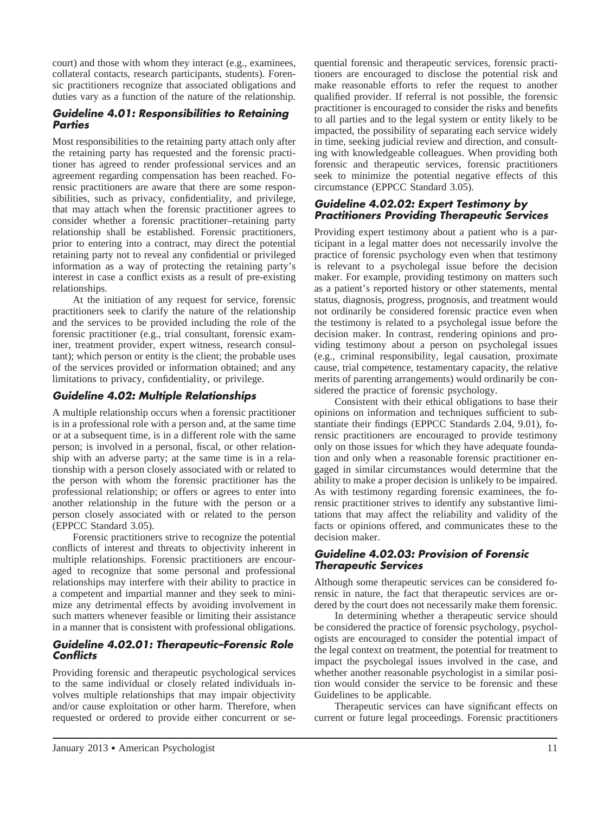court) and those with whom they interact (e.g., examinees, collateral contacts, research participants, students). Forensic practitioners recognize that associated obligations and duties vary as a function of the nature of the relationship.

#### *Guideline 4.01: Responsibilities to Retaining Parties*

Most responsibilities to the retaining party attach only after the retaining party has requested and the forensic practitioner has agreed to render professional services and an agreement regarding compensation has been reached. Forensic practitioners are aware that there are some responsibilities, such as privacy, confidentiality, and privilege, that may attach when the forensic practitioner agrees to consider whether a forensic practitioner–retaining party relationship shall be established. Forensic practitioners, prior to entering into a contract, may direct the potential retaining party not to reveal any confidential or privileged information as a way of protecting the retaining party's interest in case a conflict exists as a result of pre-existing relationships.

At the initiation of any request for service, forensic practitioners seek to clarify the nature of the relationship and the services to be provided including the role of the forensic practitioner (e.g., trial consultant, forensic examiner, treatment provider, expert witness, research consultant); which person or entity is the client; the probable uses of the services provided or information obtained; and any limitations to privacy, confidentiality, or privilege.

### *Guideline 4.02: Multiple Relationships*

A multiple relationship occurs when a forensic practitioner is in a professional role with a person and, at the same time or at a subsequent time, is in a different role with the same person; is involved in a personal, fiscal, or other relationship with an adverse party; at the same time is in a relationship with a person closely associated with or related to the person with whom the forensic practitioner has the professional relationship; or offers or agrees to enter into another relationship in the future with the person or a person closely associated with or related to the person (EPPCC Standard 3.05).

Forensic practitioners strive to recognize the potential conflicts of interest and threats to objectivity inherent in multiple relationships. Forensic practitioners are encouraged to recognize that some personal and professional relationships may interfere with their ability to practice in a competent and impartial manner and they seek to minimize any detrimental effects by avoiding involvement in such matters whenever feasible or limiting their assistance in a manner that is consistent with professional obligations.

#### *Guideline 4.02.01: Therapeutic–Forensic Role Conflicts*

Providing forensic and therapeutic psychological services to the same individual or closely related individuals involves multiple relationships that may impair objectivity and/or cause exploitation or other harm. Therefore, when requested or ordered to provide either concurrent or sequential forensic and therapeutic services, forensic practitioners are encouraged to disclose the potential risk and make reasonable efforts to refer the request to another qualified provider. If referral is not possible, the forensic practitioner is encouraged to consider the risks and benefits to all parties and to the legal system or entity likely to be impacted, the possibility of separating each service widely in time, seeking judicial review and direction, and consulting with knowledgeable colleagues. When providing both forensic and therapeutic services, forensic practitioners seek to minimize the potential negative effects of this circumstance (EPPCC Standard 3.05).

#### *Guideline 4.02.02: Expert Testimony by Practitioners Providing Therapeutic Services*

Providing expert testimony about a patient who is a participant in a legal matter does not necessarily involve the practice of forensic psychology even when that testimony is relevant to a psycholegal issue before the decision maker. For example, providing testimony on matters such as a patient's reported history or other statements, mental status, diagnosis, progress, prognosis, and treatment would not ordinarily be considered forensic practice even when the testimony is related to a psycholegal issue before the decision maker. In contrast, rendering opinions and providing testimony about a person on psycholegal issues (e.g., criminal responsibility, legal causation, proximate cause, trial competence, testamentary capacity, the relative merits of parenting arrangements) would ordinarily be considered the practice of forensic psychology.

Consistent with their ethical obligations to base their opinions on information and techniques sufficient to substantiate their findings (EPPCC Standards 2.04, 9.01), forensic practitioners are encouraged to provide testimony only on those issues for which they have adequate foundation and only when a reasonable forensic practitioner engaged in similar circumstances would determine that the ability to make a proper decision is unlikely to be impaired. As with testimony regarding forensic examinees, the forensic practitioner strives to identify any substantive limitations that may affect the reliability and validity of the facts or opinions offered, and communicates these to the decision maker.

#### *Guideline 4.02.03: Provision of Forensic Therapeutic Services*

Although some therapeutic services can be considered forensic in nature, the fact that therapeutic services are ordered by the court does not necessarily make them forensic.

In determining whether a therapeutic service should be considered the practice of forensic psychology, psychologists are encouraged to consider the potential impact of the legal context on treatment, the potential for treatment to impact the psycholegal issues involved in the case, and whether another reasonable psychologist in a similar position would consider the service to be forensic and these Guidelines to be applicable.

Therapeutic services can have significant effects on current or future legal proceedings. Forensic practitioners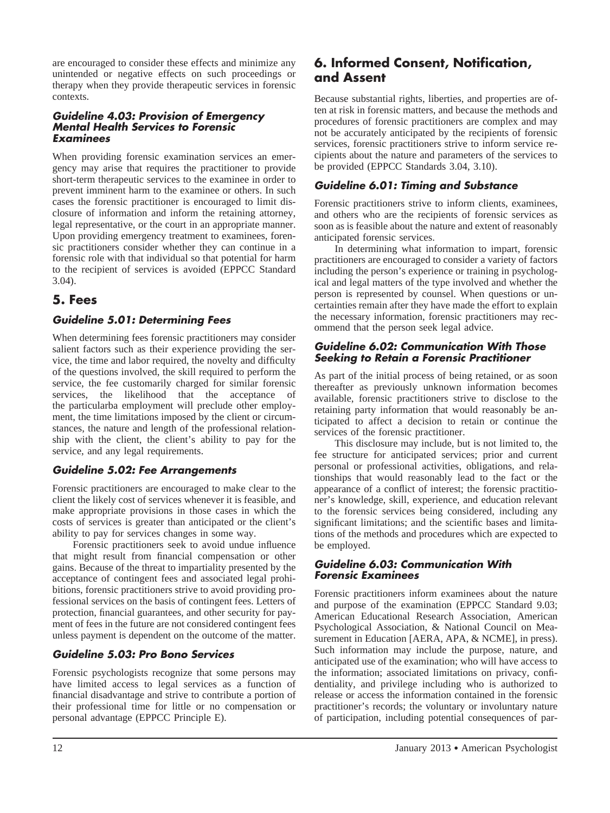are encouraged to consider these effects and minimize any unintended or negative effects on such proceedings or therapy when they provide therapeutic services in forensic contexts.

#### *Guideline 4.03: Provision of Emergency Mental Health Services to Forensic Examinees*

When providing forensic examination services an emergency may arise that requires the practitioner to provide short-term therapeutic services to the examinee in order to prevent imminent harm to the examinee or others. In such cases the forensic practitioner is encouraged to limit disclosure of information and inform the retaining attorney, legal representative, or the court in an appropriate manner. Upon providing emergency treatment to examinees, forensic practitioners consider whether they can continue in a forensic role with that individual so that potential for harm to the recipient of services is avoided (EPPCC Standard 3.04).

# **5. Fees**

# *Guideline 5.01: Determining Fees*

When determining fees forensic practitioners may consider salient factors such as their experience providing the service, the time and labor required, the novelty and difficulty of the questions involved, the skill required to perform the service, the fee customarily charged for similar forensic services, the likelihood that the acceptance of the particularba employment will preclude other employment, the time limitations imposed by the client or circumstances, the nature and length of the professional relationship with the client, the client's ability to pay for the service, and any legal requirements.

# *Guideline 5.02: Fee Arrangements*

Forensic practitioners are encouraged to make clear to the client the likely cost of services whenever it is feasible, and make appropriate provisions in those cases in which the costs of services is greater than anticipated or the client's ability to pay for services changes in some way.

Forensic practitioners seek to avoid undue influence that might result from financial compensation or other gains. Because of the threat to impartiality presented by the acceptance of contingent fees and associated legal prohibitions, forensic practitioners strive to avoid providing professional services on the basis of contingent fees. Letters of protection, financial guarantees, and other security for payment of fees in the future are not considered contingent fees unless payment is dependent on the outcome of the matter.

# *Guideline 5.03: Pro Bono Services*

Forensic psychologists recognize that some persons may have limited access to legal services as a function of financial disadvantage and strive to contribute a portion of their professional time for little or no compensation or personal advantage (EPPCC Principle E).

# **6. Informed Consent, Notification, and Assent**

Because substantial rights, liberties, and properties are often at risk in forensic matters, and because the methods and procedures of forensic practitioners are complex and may not be accurately anticipated by the recipients of forensic services, forensic practitioners strive to inform service recipients about the nature and parameters of the services to be provided (EPPCC Standards 3.04, 3.10).

# *Guideline 6.01: Timing and Substance*

Forensic practitioners strive to inform clients, examinees, and others who are the recipients of forensic services as soon as is feasible about the nature and extent of reasonably anticipated forensic services.

In determining what information to impart, forensic practitioners are encouraged to consider a variety of factors including the person's experience or training in psychological and legal matters of the type involved and whether the person is represented by counsel. When questions or uncertainties remain after they have made the effort to explain the necessary information, forensic practitioners may recommend that the person seek legal advice.

### *Guideline 6.02: Communication With Those Seeking to Retain a Forensic Practitioner*

As part of the initial process of being retained, or as soon thereafter as previously unknown information becomes available, forensic practitioners strive to disclose to the retaining party information that would reasonably be anticipated to affect a decision to retain or continue the services of the forensic practitioner.

This disclosure may include, but is not limited to, the fee structure for anticipated services; prior and current personal or professional activities, obligations, and relationships that would reasonably lead to the fact or the appearance of a conflict of interest; the forensic practitioner's knowledge, skill, experience, and education relevant to the forensic services being considered, including any significant limitations; and the scientific bases and limitations of the methods and procedures which are expected to be employed.

# *Guideline 6.03: Communication With Forensic Examinees*

Forensic practitioners inform examinees about the nature and purpose of the examination (EPPCC Standard 9.03; American Educational Research Association, American Psychological Association, & National Council on Measurement in Education [AERA, APA, & NCME], in press). Such information may include the purpose, nature, and anticipated use of the examination; who will have access to the information; associated limitations on privacy, confidentiality, and privilege including who is authorized to release or access the information contained in the forensic practitioner's records; the voluntary or involuntary nature of participation, including potential consequences of par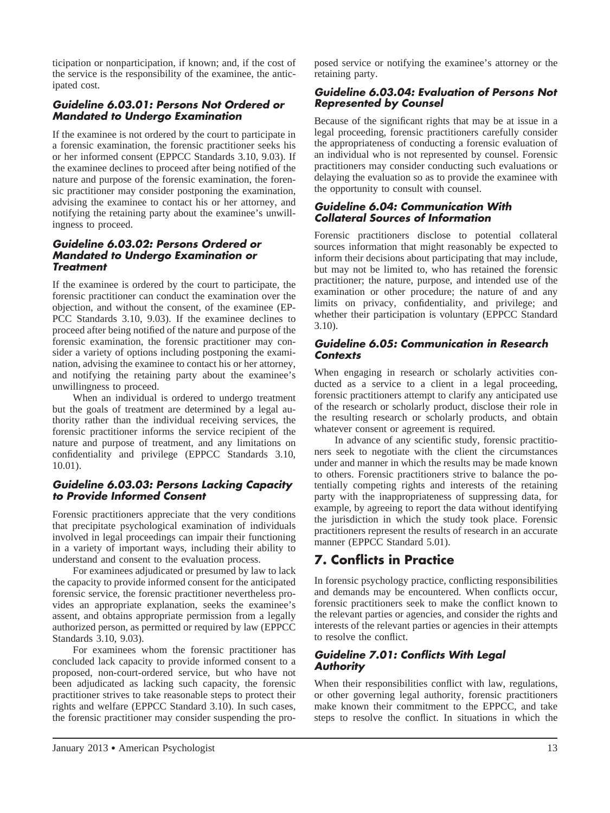ticipation or nonparticipation, if known; and, if the cost of the service is the responsibility of the examinee, the anticipated cost.

#### *Guideline 6.03.01: Persons Not Ordered or Mandated to Undergo Examination*

If the examinee is not ordered by the court to participate in a forensic examination, the forensic practitioner seeks his or her informed consent (EPPCC Standards 3.10, 9.03). If the examinee declines to proceed after being notified of the nature and purpose of the forensic examination, the forensic practitioner may consider postponing the examination, advising the examinee to contact his or her attorney, and notifying the retaining party about the examinee's unwillingness to proceed.

#### *Guideline 6.03.02: Persons Ordered or Mandated to Undergo Examination or Treatment*

If the examinee is ordered by the court to participate, the forensic practitioner can conduct the examination over the objection, and without the consent, of the examinee (EP-PCC Standards 3.10, 9.03). If the examinee declines to proceed after being notified of the nature and purpose of the forensic examination, the forensic practitioner may consider a variety of options including postponing the examination, advising the examinee to contact his or her attorney, and notifying the retaining party about the examinee's unwillingness to proceed.

When an individual is ordered to undergo treatment but the goals of treatment are determined by a legal authority rather than the individual receiving services, the forensic practitioner informs the service recipient of the nature and purpose of treatment, and any limitations on confidentiality and privilege (EPPCC Standards 3.10, 10.01).

#### *Guideline 6.03.03: Persons Lacking Capacity to Provide Informed Consent*

Forensic practitioners appreciate that the very conditions that precipitate psychological examination of individuals involved in legal proceedings can impair their functioning in a variety of important ways, including their ability to understand and consent to the evaluation process.

For examinees adjudicated or presumed by law to lack the capacity to provide informed consent for the anticipated forensic service, the forensic practitioner nevertheless provides an appropriate explanation, seeks the examinee's assent, and obtains appropriate permission from a legally authorized person, as permitted or required by law (EPPCC Standards 3.10, 9.03).

For examinees whom the forensic practitioner has concluded lack capacity to provide informed consent to a proposed, non-court-ordered service, but who have not been adjudicated as lacking such capacity, the forensic practitioner strives to take reasonable steps to protect their rights and welfare (EPPCC Standard 3.10). In such cases, the forensic practitioner may consider suspending the pro-

posed service or notifying the examinee's attorney or the retaining party.

#### *Guideline 6.03.04: Evaluation of Persons Not Represented by Counsel*

Because of the significant rights that may be at issue in a legal proceeding, forensic practitioners carefully consider the appropriateness of conducting a forensic evaluation of an individual who is not represented by counsel. Forensic practitioners may consider conducting such evaluations or delaying the evaluation so as to provide the examinee with the opportunity to consult with counsel.

#### *Guideline 6.04: Communication With Collateral Sources of Information*

Forensic practitioners disclose to potential collateral sources information that might reasonably be expected to inform their decisions about participating that may include, but may not be limited to, who has retained the forensic practitioner; the nature, purpose, and intended use of the examination or other procedure; the nature of and any limits on privacy, confidentiality, and privilege; and whether their participation is voluntary (EPPCC Standard 3.10).

#### *Guideline 6.05: Communication in Research Contexts*

When engaging in research or scholarly activities conducted as a service to a client in a legal proceeding, forensic practitioners attempt to clarify any anticipated use of the research or scholarly product, disclose their role in the resulting research or scholarly products, and obtain whatever consent or agreement is required.

In advance of any scientific study, forensic practitioners seek to negotiate with the client the circumstances under and manner in which the results may be made known to others. Forensic practitioners strive to balance the potentially competing rights and interests of the retaining party with the inappropriateness of suppressing data, for example, by agreeing to report the data without identifying the jurisdiction in which the study took place. Forensic practitioners represent the results of research in an accurate manner (EPPCC Standard 5.01).

# **7. Conflicts in Practice**

In forensic psychology practice, conflicting responsibilities and demands may be encountered. When conflicts occur, forensic practitioners seek to make the conflict known to the relevant parties or agencies, and consider the rights and interests of the relevant parties or agencies in their attempts to resolve the conflict.

#### *Guideline 7.01: Conflicts With Legal Authority*

When their responsibilities conflict with law, regulations, or other governing legal authority, forensic practitioners make known their commitment to the EPPCC, and take steps to resolve the conflict. In situations in which the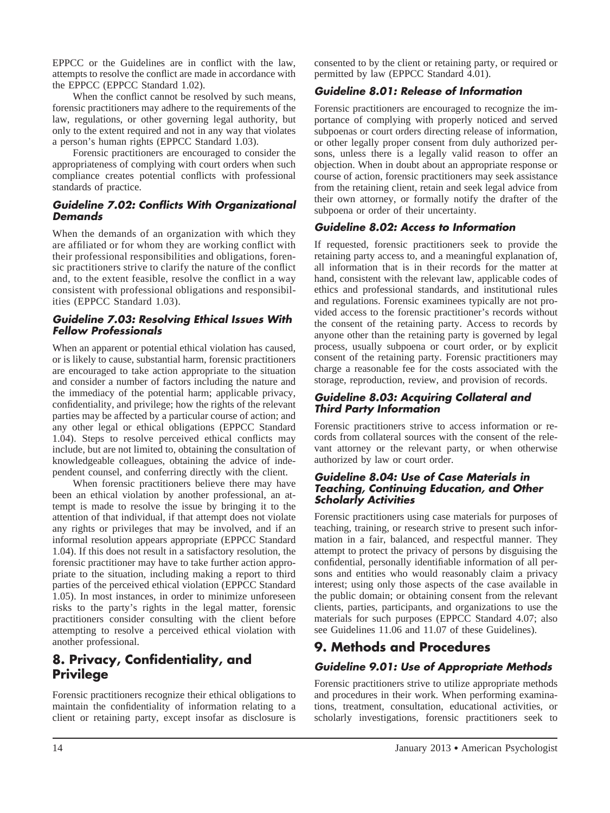EPPCC or the Guidelines are in conflict with the law, attempts to resolve the conflict are made in accordance with the EPPCC (EPPCC Standard 1.02).

When the conflict cannot be resolved by such means, forensic practitioners may adhere to the requirements of the law, regulations, or other governing legal authority, but only to the extent required and not in any way that violates a person's human rights (EPPCC Standard 1.03).

Forensic practitioners are encouraged to consider the appropriateness of complying with court orders when such compliance creates potential conflicts with professional standards of practice.

#### *Guideline 7.02: Conflicts With Organizational Demands*

When the demands of an organization with which they are affiliated or for whom they are working conflict with their professional responsibilities and obligations, forensic practitioners strive to clarify the nature of the conflict and, to the extent feasible, resolve the conflict in a way consistent with professional obligations and responsibilities (EPPCC Standard 1.03).

#### *Guideline 7.03: Resolving Ethical Issues With Fellow Professionals*

When an apparent or potential ethical violation has caused, or is likely to cause, substantial harm, forensic practitioners are encouraged to take action appropriate to the situation and consider a number of factors including the nature and the immediacy of the potential harm; applicable privacy, confidentiality, and privilege; how the rights of the relevant parties may be affected by a particular course of action; and any other legal or ethical obligations (EPPCC Standard 1.04). Steps to resolve perceived ethical conflicts may include, but are not limited to, obtaining the consultation of knowledgeable colleagues, obtaining the advice of independent counsel, and conferring directly with the client.

When forensic practitioners believe there may have been an ethical violation by another professional, an attempt is made to resolve the issue by bringing it to the attention of that individual, if that attempt does not violate any rights or privileges that may be involved, and if an informal resolution appears appropriate (EPPCC Standard 1.04). If this does not result in a satisfactory resolution, the forensic practitioner may have to take further action appropriate to the situation, including making a report to third parties of the perceived ethical violation (EPPCC Standard 1.05). In most instances, in order to minimize unforeseen risks to the party's rights in the legal matter, forensic practitioners consider consulting with the client before attempting to resolve a perceived ethical violation with another professional.

# **8. Privacy, Confidentiality, and Privilege**

Forensic practitioners recognize their ethical obligations to maintain the confidentiality of information relating to a client or retaining party, except insofar as disclosure is consented to by the client or retaining party, or required or permitted by law (EPPCC Standard 4.01).

# *Guideline 8.01: Release of Information*

Forensic practitioners are encouraged to recognize the importance of complying with properly noticed and served subpoenas or court orders directing release of information, or other legally proper consent from duly authorized persons, unless there is a legally valid reason to offer an objection. When in doubt about an appropriate response or course of action, forensic practitioners may seek assistance from the retaining client, retain and seek legal advice from their own attorney, or formally notify the drafter of the subpoena or order of their uncertainty.

# *Guideline 8.02: Access to Information*

If requested, forensic practitioners seek to provide the retaining party access to, and a meaningful explanation of, all information that is in their records for the matter at hand, consistent with the relevant law, applicable codes of ethics and professional standards, and institutional rules and regulations. Forensic examinees typically are not provided access to the forensic practitioner's records without the consent of the retaining party. Access to records by anyone other than the retaining party is governed by legal process, usually subpoena or court order, or by explicit consent of the retaining party. Forensic practitioners may charge a reasonable fee for the costs associated with the storage, reproduction, review, and provision of records.

#### *Guideline 8.03: Acquiring Collateral and Third Party Information*

Forensic practitioners strive to access information or records from collateral sources with the consent of the relevant attorney or the relevant party, or when otherwise authorized by law or court order.

#### *Guideline 8.04: Use of Case Materials in Teaching, Continuing Education, and Other Scholarly Activities*

Forensic practitioners using case materials for purposes of teaching, training, or research strive to present such information in a fair, balanced, and respectful manner. They attempt to protect the privacy of persons by disguising the confidential, personally identifiable information of all persons and entities who would reasonably claim a privacy interest; using only those aspects of the case available in the public domain; or obtaining consent from the relevant clients, parties, participants, and organizations to use the materials for such purposes (EPPCC Standard 4.07; also see Guidelines 11.06 and 11.07 of these Guidelines).

# **9. Methods and Procedures**

# *Guideline 9.01: Use of Appropriate Methods*

Forensic practitioners strive to utilize appropriate methods and procedures in their work. When performing examinations, treatment, consultation, educational activities, or scholarly investigations, forensic practitioners seek to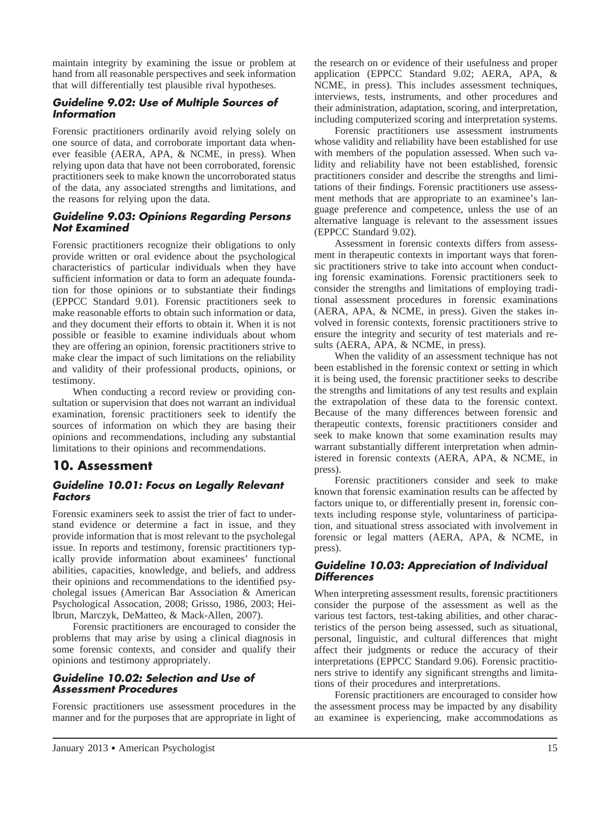maintain integrity by examining the issue or problem at hand from all reasonable perspectives and seek information that will differentially test plausible rival hypotheses.

#### *Guideline 9.02: Use of Multiple Sources of Information*

Forensic practitioners ordinarily avoid relying solely on one source of data, and corroborate important data whenever feasible (AERA, APA, & NCME, in press). When relying upon data that have not been corroborated, forensic practitioners seek to make known the uncorroborated status of the data, any associated strengths and limitations, and the reasons for relying upon the data.

#### *Guideline 9.03: Opinions Regarding Persons Not Examined*

Forensic practitioners recognize their obligations to only provide written or oral evidence about the psychological characteristics of particular individuals when they have sufficient information or data to form an adequate foundation for those opinions or to substantiate their findings (EPPCC Standard 9.01). Forensic practitioners seek to make reasonable efforts to obtain such information or data, and they document their efforts to obtain it. When it is not possible or feasible to examine individuals about whom they are offering an opinion, forensic practitioners strive to make clear the impact of such limitations on the reliability and validity of their professional products, opinions, or testimony.

When conducting a record review or providing consultation or supervision that does not warrant an individual examination, forensic practitioners seek to identify the sources of information on which they are basing their opinions and recommendations, including any substantial limitations to their opinions and recommendations.

# **10. Assessment**

#### *Guideline 10.01: Focus on Legally Relevant Factors*

Forensic examiners seek to assist the trier of fact to understand evidence or determine a fact in issue, and they provide information that is most relevant to the psycholegal issue. In reports and testimony, forensic practitioners typically provide information about examinees' functional abilities, capacities, knowledge, and beliefs, and address their opinions and recommendations to the identified psycholegal issues (American Bar Association & American Psychological Assocation, 2008; Grisso, 1986, 2003; Heilbrun, Marczyk, DeMatteo, & Mack-Allen, 2007).

Forensic practitioners are encouraged to consider the problems that may arise by using a clinical diagnosis in some forensic contexts, and consider and qualify their opinions and testimony appropriately.

#### *Guideline 10.02: Selection and Use of Assessment Procedures*

Forensic practitioners use assessment procedures in the manner and for the purposes that are appropriate in light of

the research on or evidence of their usefulness and proper application (EPPCC Standard 9.02; AERA, APA, & NCME, in press). This includes assessment techniques, interviews, tests, instruments, and other procedures and their administration, adaptation, scoring, and interpretation, including computerized scoring and interpretation systems.

Forensic practitioners use assessment instruments whose validity and reliability have been established for use with members of the population assessed. When such validity and reliability have not been established, forensic practitioners consider and describe the strengths and limitations of their findings. Forensic practitioners use assessment methods that are appropriate to an examinee's language preference and competence, unless the use of an alternative language is relevant to the assessment issues (EPPCC Standard 9.02).

Assessment in forensic contexts differs from assessment in therapeutic contexts in important ways that forensic practitioners strive to take into account when conducting forensic examinations. Forensic practitioners seek to consider the strengths and limitations of employing traditional assessment procedures in forensic examinations (AERA, APA, & NCME, in press). Given the stakes involved in forensic contexts, forensic practitioners strive to ensure the integrity and security of test materials and results (AERA, APA, & NCME, in press).

When the validity of an assessment technique has not been established in the forensic context or setting in which it is being used, the forensic practitioner seeks to describe the strengths and limitations of any test results and explain the extrapolation of these data to the forensic context. Because of the many differences between forensic and therapeutic contexts, forensic practitioners consider and seek to make known that some examination results may warrant substantially different interpretation when administered in forensic contexts (AERA, APA, & NCME, in press).

Forensic practitioners consider and seek to make known that forensic examination results can be affected by factors unique to, or differentially present in, forensic contexts including response style, voluntariness of participation, and situational stress associated with involvement in forensic or legal matters (AERA, APA, & NCME, in press).

#### *Guideline 10.03: Appreciation of Individual Differences*

When interpreting assessment results, forensic practitioners consider the purpose of the assessment as well as the various test factors, test-taking abilities, and other characteristics of the person being assessed, such as situational, personal, linguistic, and cultural differences that might affect their judgments or reduce the accuracy of their interpretations (EPPCC Standard 9.06). Forensic practitioners strive to identify any significant strengths and limitations of their procedures and interpretations.

Forensic practitioners are encouraged to consider how the assessment process may be impacted by any disability an examinee is experiencing, make accommodations as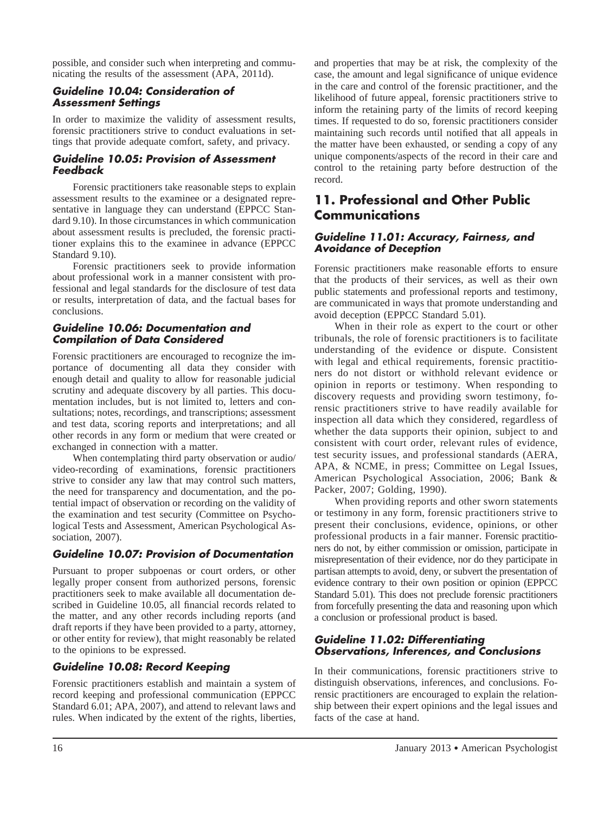possible, and consider such when interpreting and communicating the results of the assessment (APA, 2011d).

#### *Guideline 10.04: Consideration of Assessment Settings*

In order to maximize the validity of assessment results, forensic practitioners strive to conduct evaluations in settings that provide adequate comfort, safety, and privacy.

#### *Guideline 10.05: Provision of Assessment Feedback*

Forensic practitioners take reasonable steps to explain assessment results to the examinee or a designated representative in language they can understand (EPPCC Standard 9.10). In those circumstances in which communication about assessment results is precluded, the forensic practitioner explains this to the examinee in advance (EPPCC Standard 9.10).

Forensic practitioners seek to provide information about professional work in a manner consistent with professional and legal standards for the disclosure of test data or results, interpretation of data, and the factual bases for conclusions.

#### *Guideline 10.06: Documentation and Compilation of Data Considered*

Forensic practitioners are encouraged to recognize the importance of documenting all data they consider with enough detail and quality to allow for reasonable judicial scrutiny and adequate discovery by all parties. This documentation includes, but is not limited to, letters and consultations; notes, recordings, and transcriptions; assessment and test data, scoring reports and interpretations; and all other records in any form or medium that were created or exchanged in connection with a matter.

When contemplating third party observation or audio/ video-recording of examinations, forensic practitioners strive to consider any law that may control such matters, the need for transparency and documentation, and the potential impact of observation or recording on the validity of the examination and test security (Committee on Psychological Tests and Assessment, American Psychological Association, 2007).

# *Guideline 10.07: Provision of Documentation*

Pursuant to proper subpoenas or court orders, or other legally proper consent from authorized persons, forensic practitioners seek to make available all documentation described in Guideline 10.05, all financial records related to the matter, and any other records including reports (and draft reports if they have been provided to a party, attorney, or other entity for review), that might reasonably be related to the opinions to be expressed.

# *Guideline 10.08: Record Keeping*

Forensic practitioners establish and maintain a system of record keeping and professional communication (EPPCC Standard 6.01; APA, 2007), and attend to relevant laws and rules. When indicated by the extent of the rights, liberties, and properties that may be at risk, the complexity of the case, the amount and legal significance of unique evidence in the care and control of the forensic practitioner, and the likelihood of future appeal, forensic practitioners strive to inform the retaining party of the limits of record keeping times. If requested to do so, forensic practitioners consider maintaining such records until notified that all appeals in the matter have been exhausted, or sending a copy of any unique components/aspects of the record in their care and control to the retaining party before destruction of the record.

# **11. Professional and Other Public Communications**

#### *Guideline 11.01: Accuracy, Fairness, and Avoidance of Deception*

Forensic practitioners make reasonable efforts to ensure that the products of their services, as well as their own public statements and professional reports and testimony, are communicated in ways that promote understanding and avoid deception (EPPCC Standard 5.01).

When in their role as expert to the court or other tribunals, the role of forensic practitioners is to facilitate understanding of the evidence or dispute. Consistent with legal and ethical requirements, forensic practitioners do not distort or withhold relevant evidence or opinion in reports or testimony. When responding to discovery requests and providing sworn testimony, forensic practitioners strive to have readily available for inspection all data which they considered, regardless of whether the data supports their opinion, subject to and consistent with court order, relevant rules of evidence, test security issues, and professional standards (AERA, APA, & NCME, in press; Committee on Legal Issues, American Psychological Association, 2006; Bank & Packer, 2007; Golding, 1990).

When providing reports and other sworn statements or testimony in any form, forensic practitioners strive to present their conclusions, evidence, opinions, or other professional products in a fair manner. Forensic practitioners do not, by either commission or omission, participate in misrepresentation of their evidence, nor do they participate in partisan attempts to avoid, deny, or subvert the presentation of evidence contrary to their own position or opinion (EPPCC Standard 5.01). This does not preclude forensic practitioners from forcefully presenting the data and reasoning upon which a conclusion or professional product is based.

#### *Guideline 11.02: Differentiating Observations, Inferences, and Conclusions*

In their communications, forensic practitioners strive to distinguish observations, inferences, and conclusions. Forensic practitioners are encouraged to explain the relationship between their expert opinions and the legal issues and facts of the case at hand.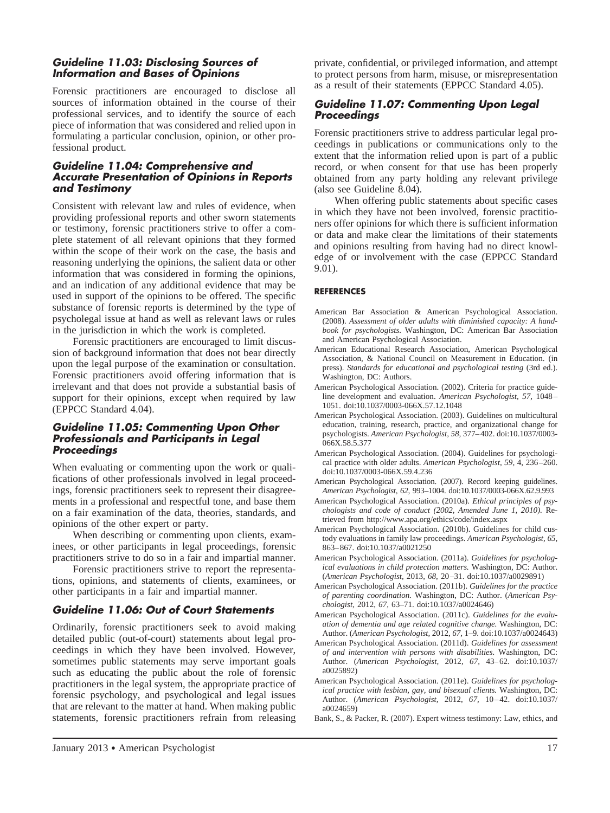#### *Guideline 11.03: Disclosing Sources of Information and Bases of Opinions*

Forensic practitioners are encouraged to disclose all sources of information obtained in the course of their professional services, and to identify the source of each piece of information that was considered and relied upon in formulating a particular conclusion, opinion, or other professional product.

#### *Guideline 11.04: Comprehensive and Accurate Presentation of Opinions in Reports and Testimony*

Consistent with relevant law and rules of evidence, when providing professional reports and other sworn statements or testimony, forensic practitioners strive to offer a complete statement of all relevant opinions that they formed within the scope of their work on the case, the basis and reasoning underlying the opinions, the salient data or other information that was considered in forming the opinions, and an indication of any additional evidence that may be used in support of the opinions to be offered. The specific substance of forensic reports is determined by the type of psycholegal issue at hand as well as relevant laws or rules in the jurisdiction in which the work is completed.

Forensic practitioners are encouraged to limit discussion of background information that does not bear directly upon the legal purpose of the examination or consultation. Forensic practitioners avoid offering information that is irrelevant and that does not provide a substantial basis of support for their opinions, except when required by law (EPPCC Standard 4.04).

#### *Guideline 11.05: Commenting Upon Other Professionals and Participants in Legal Proceedings*

When evaluating or commenting upon the work or qualifications of other professionals involved in legal proceedings, forensic practitioners seek to represent their disagreements in a professional and respectful tone, and base them on a fair examination of the data, theories, standards, and opinions of the other expert or party.

When describing or commenting upon clients, examinees, or other participants in legal proceedings, forensic practitioners strive to do so in a fair and impartial manner.

Forensic practitioners strive to report the representations, opinions, and statements of clients, examinees, or other participants in a fair and impartial manner.

# *Guideline 11.06: Out of Court Statements*

Ordinarily, forensic practitioners seek to avoid making detailed public (out-of-court) statements about legal proceedings in which they have been involved. However, sometimes public statements may serve important goals such as educating the public about the role of forensic practitioners in the legal system, the appropriate practice of forensic psychology, and psychological and legal issues that are relevant to the matter at hand. When making public statements, forensic practitioners refrain from releasing

private, confidential, or privileged information, and attempt to protect persons from harm, misuse, or misrepresentation as a result of their statements (EPPCC Standard 4.05).

#### *Guideline 11.07: Commenting Upon Legal Proceedings*

Forensic practitioners strive to address particular legal proceedings in publications or communications only to the extent that the information relied upon is part of a public record, or when consent for that use has been properly obtained from any party holding any relevant privilege (also see Guideline 8.04).

When offering public statements about specific cases in which they have not been involved, forensic practitioners offer opinions for which there is sufficient information or data and make clear the limitations of their statements and opinions resulting from having had no direct knowledge of or involvement with the case (EPPCC Standard 9.01).

#### **REFERENCES**

- American Bar Association & American Psychological Association. (2008). *Assessment of older adults with diminished capacity: A handbook for psychologists.* Washington, DC: American Bar Association and American Psychological Association.
- American Educational Research Association, American Psychological Association, & National Council on Measurement in Education. (in press). *Standards for educational and psychological testing* (3rd ed.). Washington, DC: Authors.
- American Psychological Association. (2002). Criteria for practice guideline development and evaluation. *American Psychologist, 57,* 1048– 1051. [doi:10.1037/0003-066X.57.12.1048](http://dx.doi.org/10.1037/0003-066X.57.12.1048)
- American Psychological Association. (2003). Guidelines on multicultural education, training, research, practice, and organizational change for psychologists. *American Psychologist, 58,* 377–402. [doi:10.1037/0003-](http://dx.doi.org/10.1037/0003-066X.58.5.377) [066X.58.5.377](http://dx.doi.org/10.1037/0003-066X.58.5.377)
- American Psychological Association. (2004). Guidelines for psychological practice with older adults. *American Psychologist, 59,* 4, 236–260. [doi:10.1037/0003-066X.59.4.236](http://dx.doi.org/10.1037/0003-066X.59.4.236)
- American Psychological Association. (2007). Record keeping guidelines. *American Psychologist, 62,* 993–1004. [doi:10.1037/0003-066X.62.9.993](http://dx.doi.org/10.1037/0003-066X.62.9.993)
- American Psychological Association. (2010a). *Ethical principles of psychologists and code of conduct (2002, Amended June 1, 2010).* Retrieved from http://www.apa.org/ethics/code/index.aspx
- American Psychological Association. (2010b). Guidelines for child custody evaluations in family law proceedings. *American Psychologist, 65,* 863–867. [doi:10.1037/a0021250](http://dx.doi.org/10.1037/a0021250)
- American Psychological Association. (2011a). *Guidelines for psychological evaluations in child protection matters.* Washington, DC: Author. (*American Psychologist,* 2013, *68*, 20–31. [doi:10.1037/a0029891\)](http://dx.doi.org/10.1037/a0029891)
- American Psychological Association. (2011b). *Guidelines for the practice of parenting coordination.* Washington, DC: Author. (*American Psychologist,* 2012, *67,* 63–71. [doi:10.1037/a0024646\)](http://dx.doi.org/10.1037/a0024646)
- American Psychological Association. (2011c). *Guidelines for the evaluation of dementia and age related cognitive change.* Washington, DC: Author. (*American Psychologist,* 2012, *67,* 1–9. [doi:10.1037/a0024643\)](http://dx.doi.org/10.1037/a0024643)
- American Psychological Association. (2011d). *Guidelines for assessment of and intervention with persons with disabilities.* Washington, DC: Author. (*American Psychologist,* 2012, *67,* 43–62. [doi:10.1037/](http://dx.doi.org/10.1037/a0025892) [a0025892\)](http://dx.doi.org/10.1037/a0025892)
- American Psychological Association. (2011e). *Guidelines for psychological practice with lesbian, gay, and bisexual clients.* Washington, DC: Author. (*American Psychologist,* 2012, *67,* 10–42. [doi:10.1037/](http://dx.doi.org/10.1037/a0024659) [a0024659\)](http://dx.doi.org/10.1037/a0024659)
- Bank, S., & Packer, R. (2007). Expert witness testimony: Law, ethics, and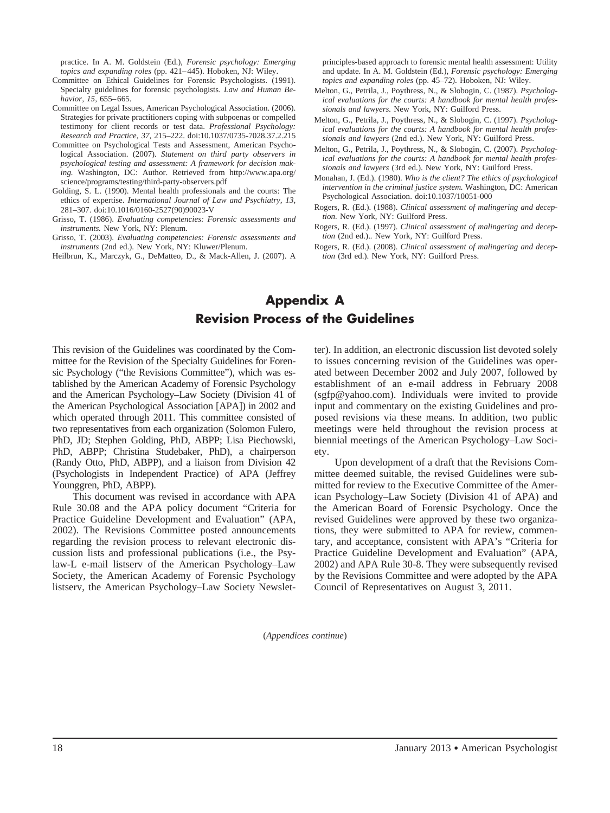practice. In A. M. Goldstein (Ed.), *Forensic psychology: Emerging topics and expanding roles* (pp. 421–445). Hoboken, NJ: Wiley.

- Committee on Ethical Guidelines for Forensic Psychologists. (1991). Specialty guidelines for forensic psychologists. *Law and Human Behavior, 15,* 655–665.
- Committee on Legal Issues, American Psychological Association. (2006). Strategies for private practitioners coping with subpoenas or compelled testimony for client records or test data. *Professional Psychology: Research and Practice, 37,* 215–222. [doi:10.1037/0735-7028.37.2.215](http://dx.doi.org/10.1037/0735-7028.37.2.215)
- Committee on Psychological Tests and Assessment, American Psychological Association. (2007). *Statement on third party observers in psychological testing and assessment: A framework for decision making.* Washington, DC: Author. Retrieved from http://www.apa.org/ science/programs/testing/third-party-observers.pdf
- Golding, S. L. (1990). Mental health professionals and the courts: The ethics of expertise. *International Journal of Law and Psychiatry, 13,* 281–307. [doi:10.1016/0160-2527\(90\)90023-V](http://dx.doi.org/10.1016/0160-2527%2890%2990023-V)
- Grisso, T. (1986). *Evaluating competencies: Forensic assessments and instruments.* New York, NY: Plenum.
- Grisso, T. (2003). *Evaluating competencies: Forensic assessments and instruments* (2nd ed.). New York, NY: Kluwer/Plenum.
- Heilbrun, K., Marczyk, G., DeMatteo, D., & Mack-Allen, J. (2007). A

principles-based approach to forensic mental health assessment: Utility and update. In A. M. Goldstein (Ed.), *Forensic psychology: Emerging topics and expanding roles* (pp. 45–72). Hoboken, NJ: Wiley.

- Melton, G., Petrila, J., Poythress, N., & Slobogin, C. (1987). *Psychological evaluations for the courts: A handbook for mental health professionals and lawyers.* New York, NY: Guilford Press.
- Melton, G., Petrila, J., Poythress, N., & Slobogin, C. (1997). *Psychological evaluations for the courts: A handbook for mental health professionals and lawyers* (2nd ed.). New York, NY: Guilford Press.
- Melton, G., Petrila, J., Poythress, N., & Slobogin, C. (2007). *Psychological evaluations for the courts: A handbook for mental health professionals and lawyers* (3rd ed.). New York, NY: Guilford Press.
- Monahan, J. (Ed.). (1980). *Who is the client? The ethics of psychological intervention in the criminal justice system.* Washington, DC: American Psychological Association. [doi:10.1037/10051-000](http://dx.doi.org/10.1037/10051-000)
- Rogers, R. (Ed.). (1988). *Clinical assessment of malingering and deception.* New York, NY: Guilford Press.
- Rogers, R. (Ed.). (1997). *Clinical assessment of malingering and deception* (2nd ed.).*.* New York, NY: Guilford Press.
- Rogers, R. (Ed.). (2008). *Clinical assessment of malingering and deception* (3rd ed.). New York, NY: Guilford Press.

# **Appendix A Revision Process of the Guidelines**

This revision of the Guidelines was coordinated by the Committee for the Revision of the Specialty Guidelines for Forensic Psychology ("the Revisions Committee"), which was established by the American Academy of Forensic Psychology and the American Psychology–Law Society (Division 41 of the American Psychological Association [APA]) in 2002 and which operated through 2011. This committee consisted of two representatives from each organization (Solomon Fulero, PhD, JD; Stephen Golding, PhD, ABPP; Lisa Piechowski, PhD, ABPP; Christina Studebaker, PhD), a chairperson (Randy Otto, PhD, ABPP), and a liaison from Division 42 (Psychologists in Independent Practice) of APA (Jeffrey Younggren, PhD, ABPP).

This document was revised in accordance with APA Rule 30.08 and the APA policy document "Criteria for Practice Guideline Development and Evaluation" (APA, 2002). The Revisions Committee posted announcements regarding the revision process to relevant electronic discussion lists and professional publications (i.e., the Psylaw-L e-mail listserv of the American Psychology–Law Society, the American Academy of Forensic Psychology listserv, the American Psychology–Law Society Newsletter). In addition, an electronic discussion list devoted solely to issues concerning revision of the Guidelines was operated between December 2002 and July 2007, followed by establishment of an e-mail address in February 2008 (sgfp@yahoo.com). Individuals were invited to provide input and commentary on the existing Guidelines and proposed revisions via these means. In addition, two public meetings were held throughout the revision process at biennial meetings of the American Psychology–Law Society.

Upon development of a draft that the Revisions Committee deemed suitable, the revised Guidelines were submitted for review to the Executive Committee of the American Psychology–Law Society (Division 41 of APA) and the American Board of Forensic Psychology. Once the revised Guidelines were approved by these two organizations, they were submitted to APA for review, commentary, and acceptance, consistent with APA's "Criteria for Practice Guideline Development and Evaluation" (APA, 2002) and APA Rule 30-8. They were subsequently revised by the Revisions Committee and were adopted by the APA Council of Representatives on August 3, 2011.

(*Appendices continue*)